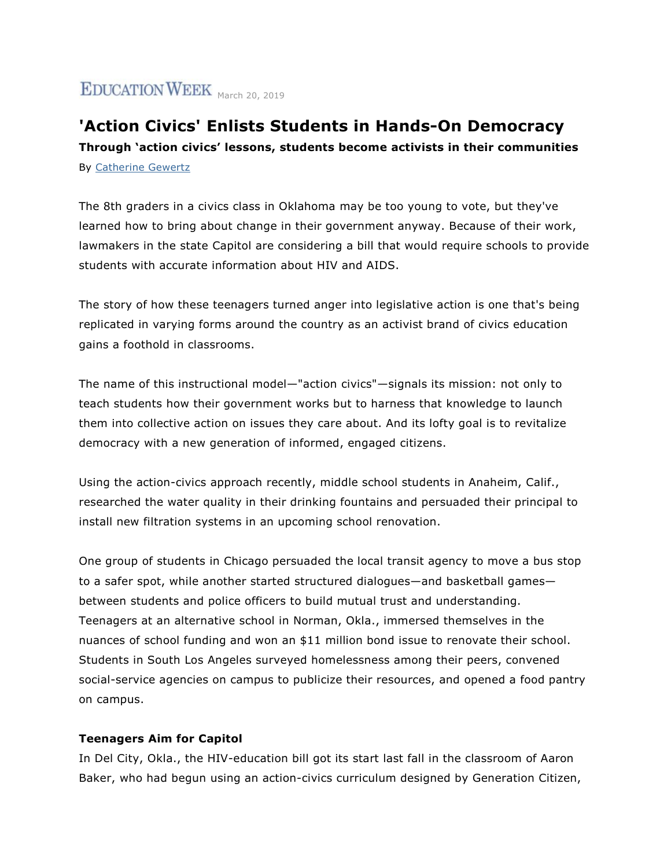# EDUCATION WEEK March 20, 2019

# **'Action Civics' Enlists Students in Hands-On Democracy Through 'action civics' lessons, students become activists in their communities** By [Catherine Gewertz](https://www.edweek.org/ew/contributors/catherine.gewertz.html)

The 8th graders in a civics class in Oklahoma may be too young to vote, but they've learned how to bring about change in their government anyway. Because of their work, lawmakers in the state Capitol are considering a bill that would require schools to provide students with accurate information about HIV and AIDS.

The story of how these teenagers turned anger into legislative action is one that's being replicated in varying forms around the country as an activist brand of civics education gains a foothold in classrooms.

The name of this instructional model—"action civics"—signals its mission: not only to teach students how their government works but to harness that knowledge to launch them into collective action on issues they care about. And its lofty goal is to revitalize democracy with a new generation of informed, engaged citizens.

Using the action-civics approach recently, middle school students in Anaheim, Calif., researched the water quality in their drinking fountains and persuaded their principal to install new filtration systems in an upcoming school renovation.

One group of students in Chicago persuaded the local transit agency to move a bus stop to a safer spot, while another started structured dialogues—and basketball games between students and police officers to build mutual trust and understanding. Teenagers at an alternative school in Norman, Okla., immersed themselves in the nuances of school funding and won an \$11 million bond issue to renovate their school. Students in South Los Angeles surveyed homelessness among their peers, convened social-service agencies on campus to publicize their resources, and opened a food pantry on campus.

## **Teenagers Aim for Capitol**

In Del City, Okla., the HIV-education bill got its start last fall in the classroom of Aaron Baker, who had begun using an action-civics curriculum designed by Generation Citizen,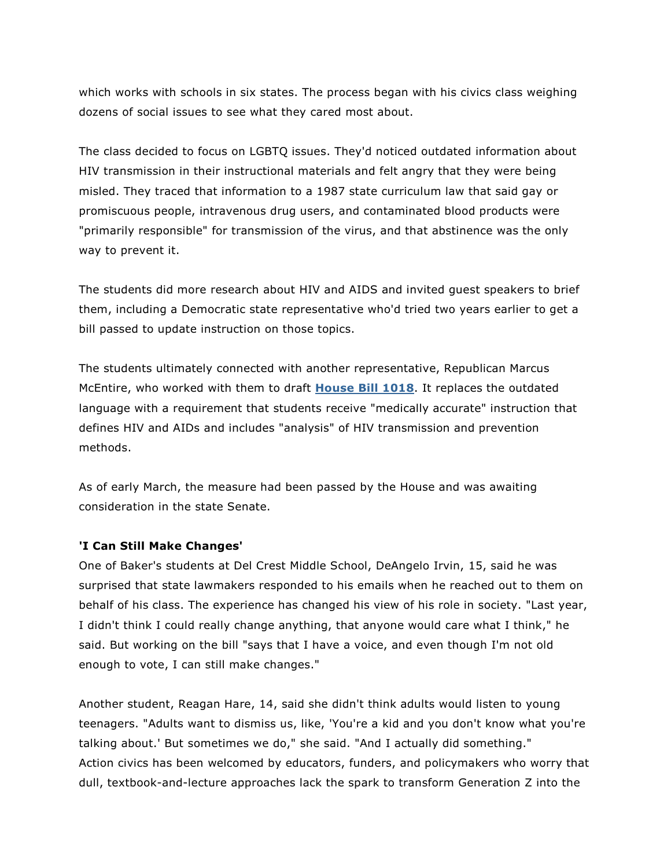which works with schools in six states. The process began with his civics class weighing dozens of social issues to see what they cared most about.

The class decided to focus on LGBTQ issues. They'd noticed outdated information about HIV transmission in their instructional materials and felt angry that they were being misled. They traced that information to a 1987 state curriculum law that said gay or promiscuous people, intravenous drug users, and contaminated blood products were "primarily responsible" for transmission of the virus, and that abstinence was the only way to prevent it.

The students did more research about HIV and AIDS and invited guest speakers to brief them, including a Democratic state representative who'd tried two years earlier to get a bill passed to update instruction on those topics.

The students ultimately connected with another representative, Republican Marcus McEntire, who worked with them to draft **[House Bill 1018](https://legiscan.com/OK/bill/HB1018/2019)**. It replaces the outdated language with a requirement that students receive "medically accurate" instruction that defines HIV and AIDs and includes "analysis" of HIV transmission and prevention methods.

As of early March, the measure had been passed by the House and was awaiting consideration in the state Senate.

## **'I Can Still Make Changes'**

One of Baker's students at Del Crest Middle School, DeAngelo Irvin, 15, said he was surprised that state lawmakers responded to his emails when he reached out to them on behalf of his class. The experience has changed his view of his role in society. "Last year, I didn't think I could really change anything, that anyone would care what I think," he said. But working on the bill "says that I have a voice, and even though I'm not old enough to vote, I can still make changes."

Another student, Reagan Hare, 14, said she didn't think adults would listen to young teenagers. "Adults want to dismiss us, like, 'You're a kid and you don't know what you're talking about.' But sometimes we do," she said. "And I actually did something." Action civics has been welcomed by educators, funders, and policymakers who worry that dull, textbook-and-lecture approaches lack the spark to transform Generation Z into the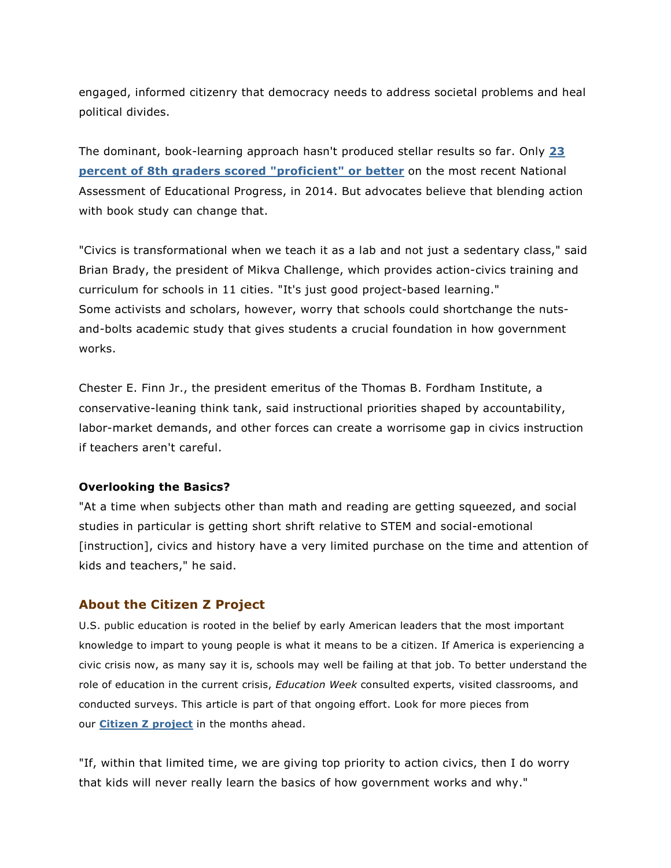engaged, informed citizenry that democracy needs to address societal problems and heal political divides.

The dominant, book-learning approach hasn't produced stellar results so far. Only **[23](https://www.nationsreportcard.gov/hgc_2014/#civics/achievement)  [percent of 8th graders scored "proficient" or better](https://www.nationsreportcard.gov/hgc_2014/#civics/achievement)** on the most recent National Assessment of Educational Progress, in 2014. But advocates believe that blending action with book study can change that.

"Civics is transformational when we teach it as a lab and not just a sedentary class," said Brian Brady, the president of Mikva Challenge, which provides action-civics training and curriculum for schools in 11 cities. "It's just good project-based learning." Some activists and scholars, however, worry that schools could shortchange the nutsand-bolts academic study that gives students a crucial foundation in how government works.

Chester E. Finn Jr., the president emeritus of the Thomas B. Fordham Institute, a conservative-leaning think tank, said instructional priorities shaped by accountability, labor-market demands, and other forces can create a worrisome gap in civics instruction if teachers aren't careful.

#### **Overlooking the Basics?**

"At a time when subjects other than math and reading are getting squeezed, and social studies in particular is getting short shrift relative to STEM and social-emotional [instruction], civics and history have a very limited purchase on the time and attention of kids and teachers," he said.

#### **About the Citizen Z Project**

U.S. public education is rooted in the belief by early American leaders that the most important knowledge to impart to young people is what it means to be a citizen. If America is experiencing a civic crisis now, as many say it is, schools may well be failing at that job. To better understand the role of education in the current crisis, *Education Week* consulted experts, visited classrooms, and conducted surveys. This article is part of that ongoing effort. Look for more pieces from our **[Citizen Z project](https://www.edweek.org/ew/collections/civics-education/index.html)** in the months ahead.

"If, within that limited time, we are giving top priority to action civics, then I do worry that kids will never really learn the basics of how government works and why."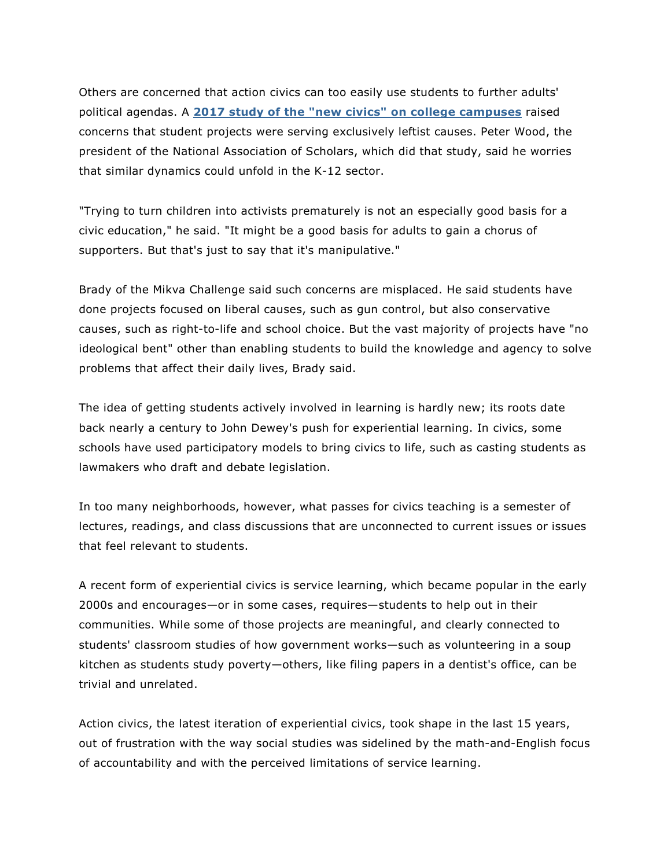Others are concerned that action civics can too easily use students to further adults' political agendas. A **[2017 study of the "new civics" on college campuses](https://www.nas.org/articles/making_citizens_how_american_universities_teach_civics2)** raised concerns that student projects were serving exclusively leftist causes. Peter Wood, the president of the National Association of Scholars, which did that study, said he worries that similar dynamics could unfold in the K-12 sector.

"Trying to turn children into activists prematurely is not an especially good basis for a civic education," he said. "It might be a good basis for adults to gain a chorus of supporters. But that's just to say that it's manipulative."

Brady of the Mikva Challenge said such concerns are misplaced. He said students have done projects focused on liberal causes, such as gun control, but also conservative causes, such as right-to-life and school choice. But the vast majority of projects have "no ideological bent" other than enabling students to build the knowledge and agency to solve problems that affect their daily lives, Brady said.

The idea of getting students actively involved in learning is hardly new; its roots date back nearly a century to John Dewey's push for experiential learning. In civics, some schools have used participatory models to bring civics to life, such as casting students as lawmakers who draft and debate legislation.

In too many neighborhoods, however, what passes for civics teaching is a semester of lectures, readings, and class discussions that are unconnected to current issues or issues that feel relevant to students.

A recent form of experiential civics is service learning, which became popular in the early 2000s and encourages—or in some cases, requires—students to help out in their communities. While some of those projects are meaningful, and clearly connected to students' classroom studies of how government works—such as volunteering in a soup kitchen as students study poverty—others, like filing papers in a dentist's office, can be trivial and unrelated.

Action civics, the latest iteration of experiential civics, took shape in the last 15 years, out of frustration with the way social studies was sidelined by the math-and-English focus of accountability and with the perceived limitations of service learning.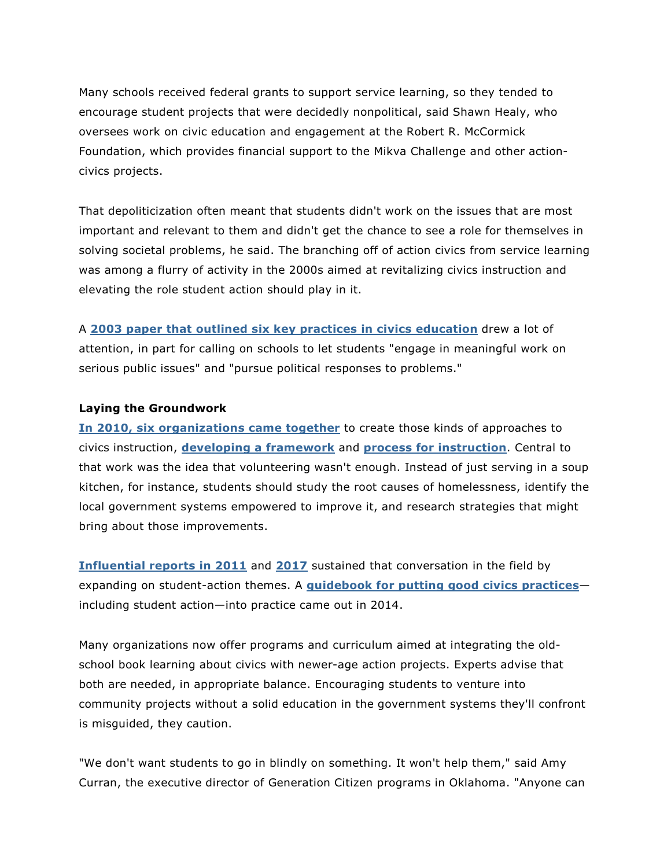Many schools received federal grants to support service learning, so they tended to encourage student projects that were decidedly nonpolitical, said Shawn Healy, who oversees work on civic education and engagement at the Robert R. McCormick Foundation, which provides financial support to the Mikva Challenge and other actioncivics projects.

That depoliticization often meant that students didn't work on the issues that are most important and relevant to them and didn't get the chance to see a role for themselves in solving societal problems, he said. The branching off of action civics from service learning was among a flurry of activity in the 2000s aimed at revitalizing civics instruction and elevating the role student action should play in it.

A **[2003 paper that outlined six key practices in civics education](https://www.civxnow.org/static/media/2003%20Civic%20Mission%20of%20Schools.9357eed9.pdf)** drew a lot of attention, in part for calling on schools to let students "engage in meaningful work on serious public issues" and "pursue political responses to problems."

#### **Laying the Groundwork**

**[In 2010, six organizations](http://actioncivicscollaborative.org/about-us/action-civics-declaration/) came together** to create those kinds of approaches to civics instruction, **[developing a framework](http://actioncivicscollaborative.org/why-action-civics/framework)** and **[process for instruction](http://actioncivicscollaborative.org/why-action-civics/process/)**. Central to that work was the idea that volunteering wasn't enough. Instead of just serving in a soup kitchen, for instance, students should study the root causes of homelessness, identify the local government systems empowered to improve it, and research strategies that might bring about those improvements.

**[Influential reports in 2011](https://www.civxnow.org/static/media/2011%20Guardian%20of%20Democracy.7eec8c7c.pdf)** and **[2017](https://www.civxnow.org/static/media/SummitWhitePaper.fc2a3bb5.pdf)** sustained that conversation in the field by expanding on student-action themes. A **[guidebook for putting good civics practices](http://www.ecs.org/clearinghouse/01/10/48/11048.pdf)** including student action—into practice came out in 2014.

Many organizations now offer programs and curriculum aimed at integrating the oldschool book learning about civics with newer-age action projects. Experts advise that both are needed, in appropriate balance. Encouraging students to venture into community projects without a solid education in the government systems they'll confront is misguided, they caution.

"We don't want students to go in blindly on something. It won't help them," said Amy Curran, the executive director of Generation Citizen programs in Oklahoma. "Anyone can